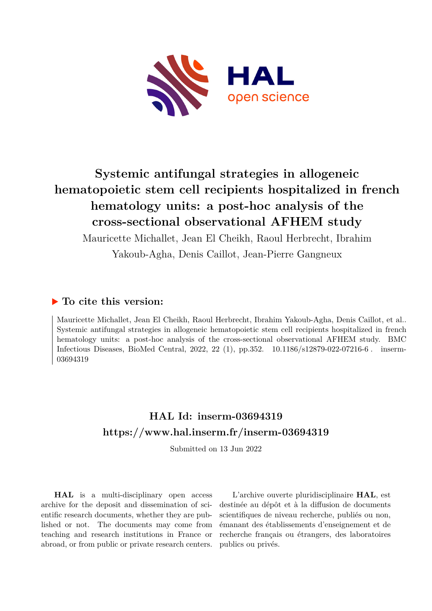

# **Systemic antifungal strategies in allogeneic hematopoietic stem cell recipients hospitalized in french hematology units: a post-hoc analysis of the cross-sectional observational AFHEM study**

Mauricette Michallet, Jean El Cheikh, Raoul Herbrecht, Ibrahim Yakoub-Agha, Denis Caillot, Jean-Pierre Gangneux

# **To cite this version:**

Mauricette Michallet, Jean El Cheikh, Raoul Herbrecht, Ibrahim Yakoub-Agha, Denis Caillot, et al.. Systemic antifungal strategies in allogeneic hematopoietic stem cell recipients hospitalized in french hematology units: a post-hoc analysis of the cross-sectional observational AFHEM study. BMC Infectious Diseases, BioMed Central, 2022, 22 (1), pp.352. 10.1186/s12879-022-07216-6. inserm-03694319ff

# **HAL Id: inserm-03694319 <https://www.hal.inserm.fr/inserm-03694319>**

Submitted on 13 Jun 2022

**HAL** is a multi-disciplinary open access archive for the deposit and dissemination of scientific research documents, whether they are published or not. The documents may come from teaching and research institutions in France or abroad, or from public or private research centers.

L'archive ouverte pluridisciplinaire **HAL**, est destinée au dépôt et à la diffusion de documents scientifiques de niveau recherche, publiés ou non, émanant des établissements d'enseignement et de recherche français ou étrangers, des laboratoires publics ou privés.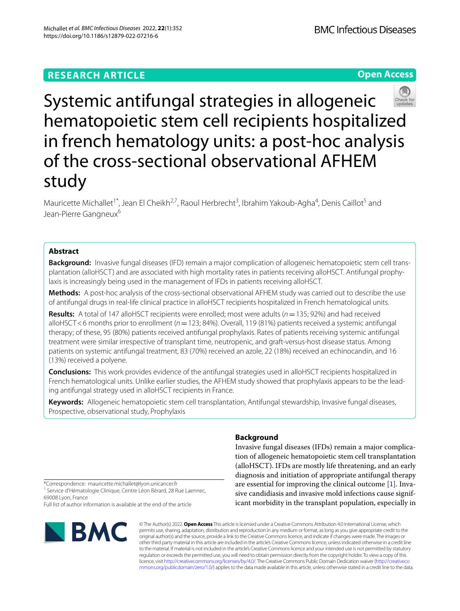## **RESEARCH ARTICLE**

## **Open Access**



Systemic antifungal strategies in allogeneic hematopoietic stem cell recipients hospitalized in french hematology units: a post-hoc analysis of the cross-sectional observational AFHEM study

Mauricette Michallet<sup>1\*</sup>, Jean El Cheikh<sup>2,7</sup>, Raoul Herbrecht<sup>3</sup>, Ibrahim Yakoub-Agha<sup>4</sup>, Denis Caillot<sup>5</sup> and Jean-Pierre Gangneux<sup>6</sup>

## **Abstract**

**Background:** Invasive fungal diseases (IFD) remain a major complication of allogeneic hematopoietic stem cell transplantation (alloHSCT) and are associated with high mortality rates in patients receiving alloHSCT. Antifungal prophylaxis is increasingly being used in the management of IFDs in patients receiving alloHSCT.

**Methods:** A post-hoc analysis of the cross-sectional observational AFHEM study was carried out to describe the use of antifungal drugs in real-life clinical practice in alloHSCT recipients hospitalized in French hematological units.

**Results:** A total of 147 alloHSCT recipients were enrolled; most were adults (*n*=135; 92%) and had received alloHSCT<6 months prior to enrollment (*n*=123; 84%). Overall, 119 (81%) patients received a systemic antifungal therapy; of these, 95 (80%) patients received antifungal prophylaxis. Rates of patients receiving systemic antifungal treatment were similar irrespective of transplant time, neutropenic, and graft-versus-host disease status. Among patients on systemic antifungal treatment, 83 (70%) received an azole, 22 (18%) received an echinocandin, and 16 (13%) received a polyene.

**Conclusions:** This work provides evidence of the antifungal strategies used in alloHSCT recipients hospitalized in French hematological units. Unlike earlier studies, the AFHEM study showed that prophylaxis appears to be the leading antifungal strategy used in alloHSCT recipients in France.

**Keywords:** Allogeneic hematopoietic stem cell transplantation, Antifungal stewardship, Invasive fungal diseases, Prospective, observational study, Prophylaxis

## **Background**

Invasive fungal diseases (IFDs) remain a major complication of allogeneic hematopoietic stem cell transplantation (alloHSCT). IFDs are mostly life threatening, and an early diagnosis and initiation of appropriate antifungal therapy are essential for improving the clinical outcome [1]. Invasive candidiasis and invasive mold infections cause significant morbidity in the transplant population, especially in

\*Correspondence: mauricette.michallet@lyon.unicancer.fr

<sup>1</sup> Service d'Hématologie Clinique, Centre Léon Bérard, 28 Rue Laennec, 69008 Lyon, France

Full list of author information is available at the end of the article



© The Author(s) 2022. **Open Access** This article is licensed under a Creative Commons Attribution 4.0 International License, which permits use, sharing, adaptation, distribution and reproduction in any medium or format, as long as you give appropriate credit to the original author(s) and the source, provide a link to the Creative Commons licence, and indicate if changes were made. The images or other third party material in this article are included in the article's Creative Commons licence, unless indicated otherwise in a credit line to the material. If material is not included in the article's Creative Commons licence and your intended use is not permitted by statutory regulation or exceeds the permitted use, you will need to obtain permission directly from the copyright holder. To view a copy of this licence, visit [http://creativecommons.org/licenses/by/4.0/.](http://creativecommons.org/licenses/by/4.0/) The Creative Commons Public Domain Dedication waiver ([http://creativeco](http://creativecommons.org/publicdomain/zero/1.0/) [mmons.org/publicdomain/zero/1.0/](http://creativecommons.org/publicdomain/zero/1.0/)) applies to the data made available in this article, unless otherwise stated in a credit line to the data.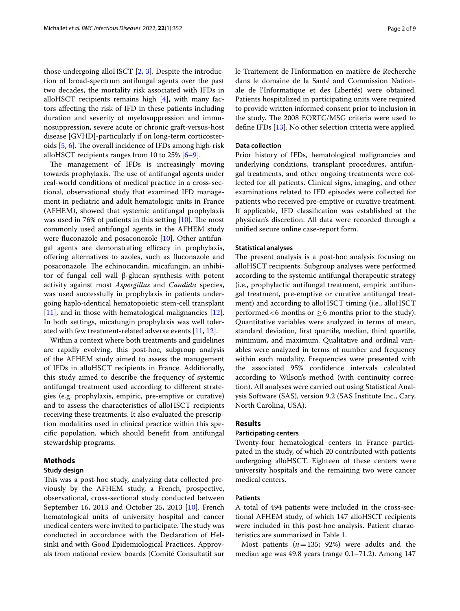those undergoing alloHSCT [2, 3]. Despite the introduction of broad-spectrum antifungal agents over the past two decades, the mortality risk associated with IFDs in alloHSCT recipients remains high  $[4]$ , with many factors afecting the risk of IFD in these patients including duration and severity of myelosuppression and immunosuppression, severe acute or chronic graft-versus-host disease [GVHD]-particularly if on long-term corticosteroids  $[5, 6]$ . The overall incidence of IFDs among high-risk alloHSCT recipients ranges from 10 to 25% [6–9].

The management of IFDs is increasingly moving towards prophylaxis. The use of antifungal agents under real-world conditions of medical practice in a cross-sectional, observational study that examined IFD management in pediatric and adult hematologic units in France (AFHEM), showed that systemic antifungal prophylaxis was used in 76% of patients in this setting  $[10]$ . The most commonly used antifungal agents in the AFHEM study were fluconazole and posaconozole [10]. Other antifungal agents are demonstrating efficacy in prophylaxis, offering alternatives to azoles, such as fluconazole and posaconazole. The echinocandin, micafungin, an inhibitor of fungal cell wall β-glucan synthesis with potent activity against most *Aspergillus* and *Candida* species, was used successfully in prophylaxis in patients undergoing haplo-identical hematopoietic stem-cell transplant [11], and in those with hematological malignancies [12]. In both settings, micafungin prophylaxis was well tolerated with few treatment-related adverse events [11, 12].

Within a context where both treatments and guidelines are rapidly evolving, this post-hoc, subgroup analysis of the AFHEM study aimed to assess the management of IFDs in alloHSCT recipients in France. Additionally, this study aimed to describe the frequency of systemic antifungal treatment used according to diferent strategies (e.g. prophylaxis, empiric, pre-emptive or curative) and to assess the characteristics of alloHSCT recipients receiving these treatments. It also evaluated the prescription modalities used in clinical practice within this specifc population, which should beneft from antifungal stewardship programs.

## **Methods**

## **Study design**

This was a post-hoc study, analyzing data collected previously by the AFHEM study, a French, prospective, observational, cross-sectional study conducted between September 16, 2013 and October 25, 2013 [10]. French hematological units of university hospital and cancer medical centers were invited to participate. The study was conducted in accordance with the Declaration of Helsinki and with Good Epidemiological Practices. Approvals from national review boards (Comité Consultatif sur le Traitement de l'Information en matière de Recherche dans le domaine de la Santé and Commission Nationale de l'Informatique et des Libertés) were obtained. Patients hospitalized in participating units were required to provide written informed consent prior to inclusion in the study. The 2008 EORTC/MSG criteria were used to defne IFDs [13]. No other selection criteria were applied.

## **Data collection**

Prior history of IFDs, hematological malignancies and underlying conditions, transplant procedures, antifungal treatments, and other ongoing treatments were collected for all patients. Clinical signs, imaging, and other examinations related to IFD episodes were collected for patients who received pre-emptive or curative treatment. If applicable, IFD classifcation was established at the physician's discretion. All data were recorded through a unifed secure online case-report form.

## **Statistical analyses**

The present analysis is a post-hoc analysis focusing on alloHSCT recipients. Subgroup analyses were performed according to the systemic antifungal therapeutic strategy (i.e., prophylactic antifungal treatment, empiric antifungal treatment, pre-emptive or curative antifungal treatment) and according to alloHSCT timing (i.e., alloHSCT performed<6 months or  $\geq$  6 months prior to the study). Quantitative variables were analyzed in terms of mean, standard deviation, frst quartile, median, third quartile, minimum, and maximum. Qualitative and ordinal variables were analyzed in terms of number and frequency within each modality. Frequencies were presented with the associated 95% confdence intervals calculated according to Wilson's method (with continuity correction). All analyses were carried out using Statistical Analysis Software (SAS), version 9.2 (SAS Institute Inc., Cary, North Carolina, USA).

## **Results**

## **Participating centers**

Twenty-four hematological centers in France participated in the study, of which 20 contributed with patients undergoing alloHSCT. Eighteen of these centers were university hospitals and the remaining two were cancer medical centers.

## **Patients**

A total of 494 patients were included in the cross-sectional AFHEM study, of which 147 alloHSCT recipients were included in this post-hoc analysis. Patient characteristics are summarized in Table 1.

Most patients (*n*=135; 92%) were adults and the median age was 49.8 years (range 0.1–71.2). Among 147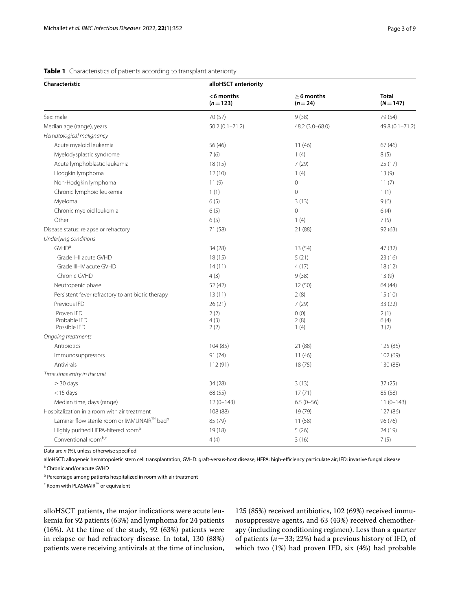| Characteristic                                          | alloHSCT anteriority   |                          |                           |  |  |
|---------------------------------------------------------|------------------------|--------------------------|---------------------------|--|--|
|                                                         | <6 months<br>$(n=123)$ | $> 6$ months<br>$(n=24)$ | <b>Total</b><br>$(N=147)$ |  |  |
| Sex: male                                               | 70 (57)                | 9(38)                    | 79 (54)                   |  |  |
| Median age (range), years                               | $50.2(0.1 - 71.2)$     | 48.2 (3.0-68.0)          | 49.8 (0.1-71.2)           |  |  |
| Hematological malignancy                                |                        |                          |                           |  |  |
| Acute myeloid leukemia                                  | 56 (46)                | 11(46)                   | 67(46)                    |  |  |
| Myelodysplastic syndrome                                | 7(6)                   | 1(4)                     | 8(5)                      |  |  |
| Acute lymphoblastic leukemia                            | 18(15)                 | 7(29)                    | 25(17)                    |  |  |
| Hodgkin lymphoma                                        | 12(10)                 | 1(4)                     | 13(9)                     |  |  |
| Non-Hodgkin lymphoma                                    | 11(9)                  | $\mathbf 0$              | 11(7)                     |  |  |
| Chronic lymphoid leukemia                               | 1(1)                   | $\mathbf 0$              | 1(1)                      |  |  |
| Myeloma                                                 | 6(5)                   | 3(13)                    | 9(6)                      |  |  |
| Chronic myeloid leukemia                                | 6(5)                   | $\overline{0}$           | 6(4)                      |  |  |
| Other                                                   | 6(5)                   | 1(4)                     | 7(5)                      |  |  |
| Disease status: relapse or refractory                   | 71 (58)                | 21 (88)                  | 92 (63)                   |  |  |
| Underlying conditions                                   |                        |                          |                           |  |  |
| <b>GVHD<sup>a</sup></b>                                 | 34 (28)                | 13 (54)                  | 47 (32)                   |  |  |
| Grade I-II acute GVHD                                   | 18(15)                 | 5(21)                    | 23(16)                    |  |  |
| Grade III-IV acute GVHD                                 | 14(11)                 | 4(17)                    | 18(12)                    |  |  |
| Chronic GVHD                                            | 4(3)                   | 9(38)                    | 13(9)                     |  |  |
| Neutropenic phase                                       | 52 (42)                | 12 (50)                  | 64(44)                    |  |  |
| Persistent fever refractory to antibiotic therapy       | 13(11)                 | 2(8)                     | 15(10)                    |  |  |
| Previous IFD                                            | 26(21)                 | 7(29)                    | 33(22)                    |  |  |
| Proven IFD                                              | 2(2)                   | 0(0)                     | 2(1)                      |  |  |
| Probable IFD<br>Possible IFD                            | 4(3)                   | 2(8)                     | 6(4)                      |  |  |
|                                                         | 2(2)                   | 1(4)                     | 3(2)                      |  |  |
| Ongoing treatments<br>Antibiotics                       |                        |                          |                           |  |  |
|                                                         | 104 (85)<br>91 (74)    | 21 (88)<br>11(46)        | 125 (85)<br>102 (69)      |  |  |
| Immunosuppressors<br>Antivirals                         | 112 (91)               | 18(75)                   | 130 (88)                  |  |  |
| Time since entry in the unit                            |                        |                          |                           |  |  |
| $\geq$ 30 days                                          | 34 (28)                | 3(13)                    | 37(25)                    |  |  |
| $<$ 15 days                                             | 68 (55)                | 17(71)                   | 85 (58)                   |  |  |
| Median time, days (range)                               | $12(0-143)$            | $6.5(0-56)$              | $11(0-143)$               |  |  |
| Hospitalization in a room with air treatment            | 108 (88)               | 19 (79)                  |                           |  |  |
| Laminar flow sterile room or IMMUNAIR™ bed <sup>b</sup> | 85 (79)                | 11(58)                   | 127 (86)<br>96(76)        |  |  |
| Highly purified HEPA-filtered room <sup>b</sup>         | 19 (18)                | 5(26)                    | 24 (19)                   |  |  |
| Conventional roomb,c                                    | 4(4)                   | 3(16)                    | 7(5)                      |  |  |
|                                                         |                        |                          |                           |  |  |

## **Table 1** Characteristics of patients according to transplant anteriority

Data are *n* (%), unless otherwise specifed

alloHSCT: allogeneic hematopoietic stem cell transplantation; GVHD: graft-versus-host disease; HEPA: high-efciency particulate air; IFD: invasive fungal disease <sup>a</sup> Chronic and/or acute GVHD

<sup>b</sup> Percentage among patients hospitalized in room with air treatment

c Room with PLASMAIR™ or equivalent

alloHSCT patients, the major indications were acute leukemia for 92 patients (63%) and lymphoma for 24 patients (16%). At the time of the study, 92 (63%) patients were in relapse or had refractory disease. In total, 130 (88%) patients were receiving antivirals at the time of inclusion, 125 (85%) received antibiotics, 102 (69%) received immunosuppressive agents, and 63 (43%) received chemotherapy (including conditioning regimen). Less than a quarter of patients (*n*=33; 22%) had a previous history of IFD, of which two (1%) had proven IFD, six (4%) had probable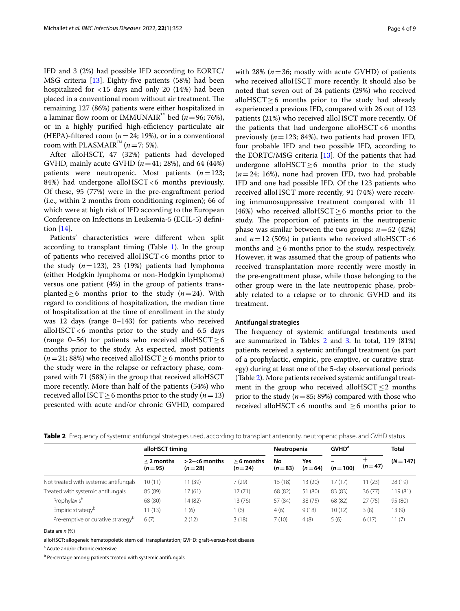IFD and 3 (2%) had possible IFD according to EORTC/ MSG criteria [13]. Eighty-fve patients (58%) had been hospitalized for <15 days and only 20 (14%) had been placed in a conventional room without air treatment. The remaining 127 (86%) patients were either hospitalized in a laminar flow room or IMMUNAIR<sup>™</sup> bed ( $n=96$ ; 76%), or in a highly purified high-efficiency particulate air (HEPA)-filtered room  $(n=24; 19%)$ , or in a conventional room with PLASMAIR<sup>™</sup>  $(n=7; 5\%)$ .

After alloHSCT, 47 (32%) patients had developed GVHD, mainly acute GVHD (*n*=41; 28%), and 64 (44%) patients were neutropenic. Most patients (*n*=123; 84%) had undergone alloHSCT <6 months previously. Of these, 95 (77%) were in the pre-engraftment period (i.e., within 2 months from conditioning regimen); 66 of which were at high risk of IFD according to the European Conference on Infections in Leukemia-5 (ECIL-5) defnition [14].

Patients' characteristics were diferent when split according to transplant timing (Table 1). In the group of patients who received alloHSCT<6 months prior to the study  $(n=123)$ , 23 (19%) patients had lymphoma (either Hodgkin lymphoma or non-Hodgkin lymphoma) versus one patient (4%) in the group of patients transplanted≥6 months prior to the study (*n*=24). With regard to conditions of hospitalization, the median time of hospitalization at the time of enrollment in the study was 12 days (range 0–143) for patients who received alloHSCT $<$ 6 months prior to the study and 6.5 days (range 0–56) for patients who received alloHSCT  $\geq$  6 months prior to the study. As expected, most patients  $(n=21; 88%)$  who received alloHSCT  $\geq$  6 months prior to the study were in the relapse or refractory phase, compared with 71 (58%) in the group that received alloHSCT more recently. More than half of the patients (54%) who received alloHSCT  $\geq$  6 months prior to the study (*n* = 13) presented with acute and/or chronic GVHD, compared with 28% ( $n=36$ ; mostly with acute GVHD) of patients who received alloHSCT more recently. It should also be noted that seven out of 24 patients (29%) who received alloHSCT≥6 months prior to the study had already experienced a previous IFD, compared with 26 out of 123 patients (21%) who received alloHSCT more recently. Of the patients that had undergone alloHSCT $<6$  months previously (*n*=123; 84%), two patients had proven IFD, four probable IFD and two possible IFD, according to the EORTC/MSG criteria [13]. Of the patients that had undergone alloHSCT $\geq$ 6 months prior to the study (*n*=24; 16%), none had proven IFD, two had probable IFD and one had possible IFD. Of the 123 patients who received alloHSCT more recently, 91 (74%) were receiving immunosuppressive treatment compared with 11 (46%) who received alloHSCT  $\geq$  6 months prior to the study. The proportion of patients in the neutropenic phase was similar between the two groups:  $n = 52$  (42%) and  $n=12$  (50%) in patients who received alloHSCT <6 months and  $\geq 6$  months prior to the study, respectively. However, it was assumed that the group of patients who received transplantation more recently were mostly in the pre-engraftment phase, while those belonging to the other group were in the late neutropenic phase, probably related to a relapse or to chronic GVHD and its treatment.

## **Antifungal strategies**

The frequency of systemic antifungal treatments used are summarized in Tables 2 and 3. In total, 119 (81%) patients received a systemic antifungal treatment (as part of a prophylactic, empiric, pre-emptive, or curative strategy) during at least one of the 5-day observational periods (Table 2). More patients received systemic antifungal treatment in the group who received alloHSCT  $\leq$  2 months prior to the study (*n*=85; 89%) compared with those who received alloHSCT<6 months and  $\geq$ 6 months prior to

|  |  | Table 2 Frequency of systemic antifungal strategies used, according to transplant anteriority, neutropenic phase, and GVHD status |  |
|--|--|-----------------------------------------------------------------------------------------------------------------------------------|--|
|  |  |                                                                                                                                   |  |

|                                               | alloHSCT timing          |                             |                          | Neutropenia    |                 | <b>GVHD<sup>a</sup></b> |               | <b>Total</b> |
|-----------------------------------------------|--------------------------|-----------------------------|--------------------------|----------------|-----------------|-------------------------|---------------|--------------|
|                                               | $<$ 2 months<br>$(n=95)$ | $>2 - 6$ months<br>$(n=28)$ | $> 6$ months<br>$(n=24)$ | No<br>$(n=83)$ | Yes<br>$(n=64)$ | $(n=100)$               | ┿<br>$(n=47)$ | $(N = 147)$  |
| Not treated with systemic antifungals         | 10 (11)                  | 11 (39)                     | 7(29)                    | 15 (18)        | 13 (20)         | 17 (17)                 | 11 (23)       | 28 (19)      |
| Treated with systemic antifungals             | 85 (89)                  | 17 (61)                     | 17(71)                   | 68 (82)        | 51 (80)         | 83 (83)                 | 36(77)        | 119 (81)     |
| Prophylaxisb                                  | 68 (80)                  | 14 (82)                     | 13 (76)                  | 57 (84)        | 38 (75)         | 68 (82)                 | 27(75)        | 95 (80)      |
| Empiric strategy <sup>b</sup>                 | 11(13)                   | (6)                         | (6)                      | 4(6)           | 9(18)           | 10(12)                  | 3(8)          | 13(9)        |
| Pre-emptive or curative strategy <sup>b</sup> | 6(7)                     | 2(12)                       | 3(18)                    | 7(10)          | 4(8)            | 5(6)                    | 6(17)         | 11(7)        |

Data are *n* (%)

alloHSCT: allogeneic hematopoietic stem cell transplantation; GVHD: graft-versus-host disease

<sup>a</sup> Acute and/or chronic extensive

<sup>b</sup> Percentage among patients treated with systemic antifungals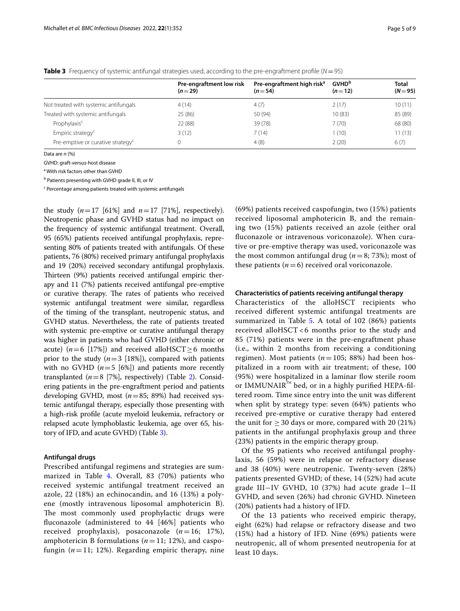| <b>Table 3</b> Frequency of systemic antifungal strategies used, according to the pre-engraftment profile ( $N = 95$ ) |  |
|------------------------------------------------------------------------------------------------------------------------|--|
|------------------------------------------------------------------------------------------------------------------------|--|

|                                               | Pre-engraftment low risk<br>$(n=29)$ | Pre-engraftment high risk <sup>a</sup><br>$(n=54)$ | <b>GVHD</b> <sup>b</sup><br>$(n=12)$ | <b>Total</b><br>$(N = 95)$ |
|-----------------------------------------------|--------------------------------------|----------------------------------------------------|--------------------------------------|----------------------------|
|                                               |                                      |                                                    |                                      |                            |
| Not treated with systemic antifungals         | 4(14)                                | 4 (7)                                              | 2(17)                                | 10(11)                     |
| Treated with systemic antifungals             | 25(86)                               | 50 (94)                                            | 10(83)                               | 85 (89)                    |
| Prophylaxis <sup>c</sup>                      | 22 (88)                              | 39(78)                                             | 7(70)                                | 68 (80)                    |
| Empiric strategy <sup>c</sup>                 | 3(12)                                | 7(14)                                              | (10)                                 | 11(13)                     |
| Pre-emptive or curative strategy <sup>c</sup> |                                      | 4 (8)                                              | 2(20)                                | 6(7)                       |

Data are *n* (%)

GVHD: graft-versus-host disease

<sup>a</sup> With risk factors other than GVHD

<sup>b</sup> Patients presenting with GVHD grade II, III, or IV

<sup>c</sup> Percentage among patients treated with systemic antifungals

the study  $(n=17 \; [61\%]$  and  $n=17 \; [71\%]$ , respectively). Neutropenic phase and GVHD status had no impact on the frequency of systemic antifungal treatment. Overall, 95 (65%) patients received antifungal prophylaxis, representing 80% of patients treated with antifungals. Of these patients, 76 (80%) received primary antifungal prophylaxis and 19 (20%) received secondary antifungal prophylaxis. Thirteen (9%) patients received antifungal empiric therapy and 11 (7%) patients received antifungal pre-emptive or curative therapy. The rates of patients who received systemic antifungal treatment were similar, regardless of the timing of the transplant, neutropenic status, and GVHD status. Nevertheless, the rate of patients treated with systemic pre-emptive or curative antifungal therapy was higher in patients who had GVHD (either chronic or acute) ( $n=6$  [17%]) and received alloHSCT  $\geq 6$  months prior to the study  $(n=3$  [18%]), compared with patients with no GVHD  $(n=5 \mid 6\%)$  and patients more recently transplanted  $(n=8$  [7%], respectively) (Table 2). Considering patients in the pre-engraftment period and patients developing GVHD, most (*n*=85; 89%) had received systemic antifungal therapy, especially those presenting with a high-risk profle (acute myeloid leukemia, refractory or relapsed acute lymphoblastic leukemia, age over 65, history of IFD, and acute GVHD) (Table 3).

## **Antifungal drugs**

Prescribed antifungal regimens and strategies are summarized in Table 4. Overall, 83 (70%) patients who received systemic antifungal treatment received an azole, 22 (18%) an echinocandin, and 16 (13%) a polyene (mostly intravenous liposomal amphotericin B). The most commonly used prophylactic drugs were fuconazole (administered to 44 [46%] patients who received prophylaxis), posaconazole (*n*=16; 17%), amphotericin B formulations (*n*=11; 12%), and caspofungin  $(n=11; 12%)$ . Regarding empiric therapy, nine

(69%) patients received caspofungin, two (15%) patients received liposomal amphotericin B, and the remaining two (15%) patients received an azole (either oral fuconazole or intravenous voriconazole). When curative or pre-emptive therapy was used, voriconazole was the most common antifungal drug ( $n=8$ ; 73%); most of these patients  $(n=6)$  received oral voriconazole.

## **Characteristics of patients receiving antifungal therapy**

Characteristics of the alloHSCT recipients who received diferent systemic antifungal treatments are summarized in Table 5. A total of 102 (86%) patients received alloHSCT< 6 months prior to the study and 85 (71%) patients were in the pre-engraftment phase (i.e., within 2 months from receiving a conditioning regimen). Most patients  $(n=105; 88%)$  had been hospitalized in a room with air treatment; of these, 100 (95%) were hospitalized in a laminar flow sterile room or IMMUNAIR<sup>™</sup> bed, or in a highly purified HEPA-filtered room. Time since entry into the unit was diferent when split by strategy type: seven (64%) patients who received pre-emptive or curative therapy had entered the unit for  $\geq$  30 days or more, compared with 20 (21%) patients in the antifungal prophylaxis group and three (23%) patients in the empiric therapy group.

Of the 95 patients who received antifungal prophylaxis, 56 (59%) were in relapse or refractory disease and 38 (40%) were neutropenic. Twenty-seven (28%) patients presented GVHD; of these, 14 (52%) had acute grade III−IV GVHD, 10 (37%) had acute grade I−II GVHD, and seven (26%) had chronic GVHD. Nineteen (20%) patients had a history of IFD.

Of the 13 patients who received empiric therapy, eight (62%) had relapse or refractory disease and two (15%) had a history of IFD. Nine (69%) patients were neutropenic, all of whom presented neutropenia for at least 10 days.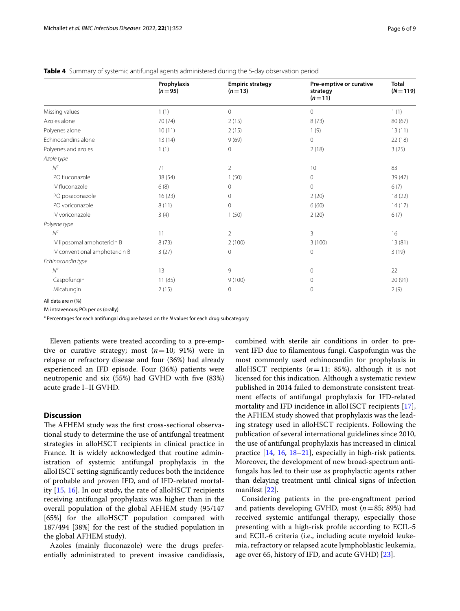|                                | Prophylaxis<br>$(n=95)$ | <b>Empiric strategy</b><br>$(n=13)$ | Pre-emptive or curative<br>strategy<br>$(n=11)$ | <b>Total</b><br>$(N=119)$ |
|--------------------------------|-------------------------|-------------------------------------|-------------------------------------------------|---------------------------|
| Missing values                 | 1(1)                    | 0                                   | $\mathbf{0}$                                    | 1(1)                      |
| Azoles alone                   | 70 (74)                 | 2(15)                               | 8(73)                                           | 80(67)                    |
| Polyenes alone                 | 10(11)                  | 2(15)                               | 1(9)                                            | 13(11)                    |
| Echinocandins alone            | 13(14)                  | 9(69)                               | $\mathbf{0}$                                    | 22(18)                    |
| Polyenes and azoles            | 1(1)                    | 0                                   | 2(18)                                           | 3(25)                     |
| Azole type                     |                         |                                     |                                                 |                           |
| $N^a$                          | 71                      | $\overline{2}$                      | 10                                              | 83                        |
| PO fluconazole                 | 38 (54)                 | 1(50)                               | $\circ$                                         | 39(47)                    |
| IV fluconazole                 | 6(8)                    | $\mathbf{0}$                        | $\mathbf{0}$                                    | 6(7)                      |
| PO posaconazole                | 16(23)                  | 0                                   | 2(20)                                           | 18(22)                    |
| PO voriconazole                | 8(11)                   | 0                                   | 6(60)                                           | 14(17)                    |
| IV voriconazole                | 3(4)                    | 1(50)                               | 2(20)                                           | 6(7)                      |
| Polyene type                   |                         |                                     |                                                 |                           |
| $N^a$                          | 11                      | 2                                   | 3                                               | 16                        |
| IV liposomal amphotericin B    | 8(73)                   | 2(100)                              | 3(100)                                          | 13(81)                    |
| IV conventional amphotericin B | 3(27)                   | 0                                   | $\mathbf{0}$                                    | 3(19)                     |
| Echinocandin type              |                         |                                     |                                                 |                           |
| $N^a$                          | 13                      | 9                                   | $\mathbf{0}$                                    | 22                        |
| Caspofungin                    | 11(85)                  | 9(100)                              | $\mathbf{0}$                                    | 20 (91)                   |
| Micafungin                     | 2(15)                   | 0                                   | $\mathbf{0}$                                    | 2(9)                      |

**Table 4** Summary of systemic antifungal agents administered during the 5-day observation period

All data are *n* (%)

IV: intravenous; PO: per os (orally)

<sup>a</sup> Percentages for each antifungal drug are based on the *N* values for each drug subcategory

Eleven patients were treated according to a pre-emptive or curative strategy; most  $(n=10; 91%)$  were in relapse or refractory disease and four (36%) had already experienced an IFD episode. Four (36%) patients were neutropenic and six (55%) had GVHD with fve (83%) acute grade I–II GVHD.

## **Discussion**

The AFHEM study was the first cross-sectional observational study to determine the use of antifungal treatment strategies in alloHSCT recipients in clinical practice in France. It is widely acknowledged that routine administration of systemic antifungal prophylaxis in the alloHSCT setting signifcantly reduces both the incidence of probable and proven IFD, and of IFD-related mortality  $[15, 16]$ . In our study, the rate of alloHSCT recipients receiving antifungal prophylaxis was higher than in the overall population of the global AFHEM study (95/147 [65%] for the alloHSCT population compared with 187/494 [38%] for the rest of the studied population in the global AFHEM study).

Azoles (mainly fuconazole) were the drugs preferentially administrated to prevent invasive candidiasis,

combined with sterile air conditions in order to prevent IFD due to flamentous fungi. Caspofungin was the most commonly used echinocandin for prophylaxis in alloHSCT recipients  $(n=11; 85%)$ , although it is not licensed for this indication. Although a systematic review published in 2014 failed to demonstrate consistent treatment efects of antifungal prophylaxis for IFD-related mortality and IFD incidence in alloHSCT recipients [17], the AFHEM study showed that prophylaxis was the leading strategy used in alloHSCT recipients. Following the publication of several international guidelines since 2010, the use of antifungal prophylaxis has increased in clinical practice [14, 16, 18–21], especially in high-risk patients. Moreover, the development of new broad-spectrum antifungals has led to their use as prophylactic agents rather than delaying treatment until clinical signs of infection manifest [22].

Considering patients in the pre-engraftment period and patients developing GVHD, most (*n*=85; 89%) had received systemic antifungal therapy, especially those presenting with a high-risk profle according to ECIL-5 and ECIL-6 criteria (i.e., including acute myeloid leukemia, refractory or relapsed acute lymphoblastic leukemia, age over 65, history of IFD, and acute GVHD) [23].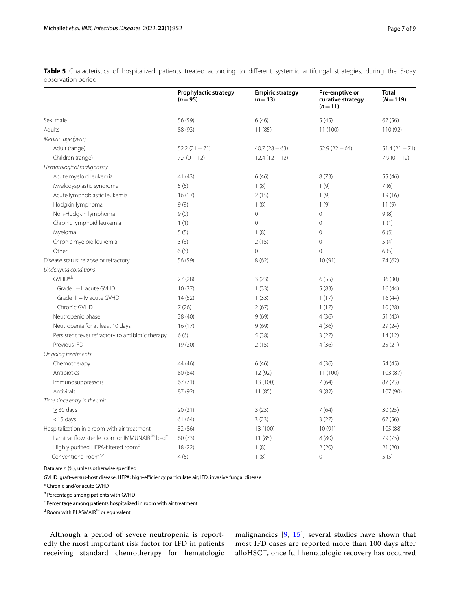|                                                         | Prophylactic strategy<br>$(n = 95)$ | <b>Empiric strategy</b><br>$(n=13)$ | Pre-emptive or<br>curative strategy<br>$(n=11)$ | <b>Total</b><br>$(N = 119)$ |
|---------------------------------------------------------|-------------------------------------|-------------------------------------|-------------------------------------------------|-----------------------------|
| Sex: male                                               | 56 (59)                             | 6(46)                               | 5(45)                                           | 67 (56)                     |
| Adults                                                  | 88 (93)                             | 11(85)                              | 11 (100)                                        | 110 (92)                    |
| Median age (year)                                       |                                     |                                     |                                                 |                             |
| Adult (range)                                           | $52.2(21 - 71)$                     | $40.7(28-63)$                       | $52.9(22 - 64)$                                 | $51.4(21 - 71)$             |
| Children (range)                                        | $7.7(0 - 12)$                       | $12.4(12-12)$                       |                                                 | $7.9(0 - 12)$               |
| Hematological malignancy                                |                                     |                                     |                                                 |                             |
| Acute myeloid leukemia                                  | 41(43)                              | 6(46)                               | 8(73)                                           | 55 (46)                     |
| Myelodysplastic syndrome                                | 5(5)                                | 1(8)                                | 1(9)                                            | 7(6)                        |
| Acute lymphoblastic leukemia                            | 16(17)                              | 2(15)                               | 1(9)                                            | 19(16)                      |
| Hodgkin lymphoma                                        | 9(9)                                | 1(8)                                | 1(9)                                            | 11(9)                       |
| Non-Hodgkin lymphoma                                    | 9(0)                                | $\mathbf 0$                         | $\mathbf 0$                                     | 9(8)                        |
| Chronic lymphoid leukemia                               | 1(1)                                | $\mathbf{0}$                        | 0                                               | 1(1)                        |
| Myeloma                                                 | 5(5)                                | 1(8)                                | $\circ$                                         | 6(5)                        |
| Chronic myeloid leukemia                                | 3(3)                                | 2(15)                               | $\overline{0}$                                  | 5(4)                        |
| Other                                                   | 6(6)                                | $\circ$                             | 0                                               | 6(5)                        |
| Disease status: relapse or refractory                   | 56 (59)                             | 8(62)                               | 10(91)                                          | 74 (62)                     |
| Underlying conditions                                   |                                     |                                     |                                                 |                             |
| GVHD <sup>a,b</sup>                                     | 27(28)                              | 3(23)                               | 6(55)                                           | 36(30)                      |
| Grade I - II acute GVHD                                 | 10(37)                              | 1(33)                               | 5(83)                                           | 16(44)                      |
| Grade III - IV acute GVHD                               | 14(52)                              | 1(33)                               | 1(17)                                           | 16(44)                      |
| Chronic GVHD                                            | 7(26)                               | 2(67)                               | 1(17)                                           | 10(28)                      |
| Neutropenic phase                                       | 38 (40)                             | 9(69)                               | 4(36)                                           | 51(43)                      |
| Neutropenia for at least 10 days                        | 16(17)                              | 9(69)                               | 4(36)                                           | 29(24)                      |
| Persistent fever refractory to antibiotic therapy       | 6(6)                                | 5(38)                               | 3(27)                                           | 14(12)                      |
| Previous IFD                                            | 19(20)                              | 2(15)                               | 4(36)                                           | 25(21)                      |
| Ongoing treatments                                      |                                     |                                     |                                                 |                             |
| Chemotherapy                                            | 44 (46)                             | 6(46)                               | 4(36)                                           | 54 (45)                     |
| Antibiotics                                             | 80 (84)                             | 12 (92)                             | 11 (100)                                        | 103 (87)                    |
| Immunosuppressors                                       | 67(71)                              | 13 (100)                            | 7(64)                                           | 87(73)                      |
| Antivirals                                              | 87 (92)                             | 11(85)                              | 9(82)                                           | 107 (90)                    |
| Time since entry in the unit                            |                                     |                                     |                                                 |                             |
| $\geq$ 30 days                                          | 20(21)                              | 3(23)                               | 7(64)                                           | 30(25)                      |
| $<$ 15 days                                             | 61(64)                              | 3(23)                               | 3(27)                                           | 67 (56)                     |
| Hospitalization in a room with air treatment            | 82 (86)                             | 13 (100)                            | 10(91)                                          | 105 (88)                    |
| Laminar flow sterile room or IMMUNAIR™ bed <sup>c</sup> | 60 (73)                             | 11(85)                              | 8(80)                                           | 79 (75)                     |
| Highly purified HEPA-filtered room <sup>c</sup>         | 18(22)                              | 1(8)                                | 2(20)                                           | 21 (20)                     |
| Conventional room <sup>c,d</sup>                        | 4(5)                                | 1(8)                                | $\overline{0}$                                  | 5(5)                        |

Table 5 Characteristics of hospitalized patients treated according to different systemic antifungal strategies, during the 5-day observation period

Data are *n* (%), unless otherwise specifed

GVHD: graft-versus-host disease; HEPA: high-efficiency particulate air; IFD: invasive fungal disease

<sup>a</sup> Chronic and/or acute GVHD

<sup>b</sup> Percentage among patients with GVHD

<sup>c</sup> Percentage among patients hospitalized in room with air treatment

<sup>d</sup> Room with PLASMAIR™ or equivalent

Although a period of severe neutropenia is reportedly the most important risk factor for IFD in patients receiving standard chemotherapy for hematologic malignancies [9, 15], several studies have shown that most IFD cases are reported more than 100 days after alloHSCT, once full hematologic recovery has occurred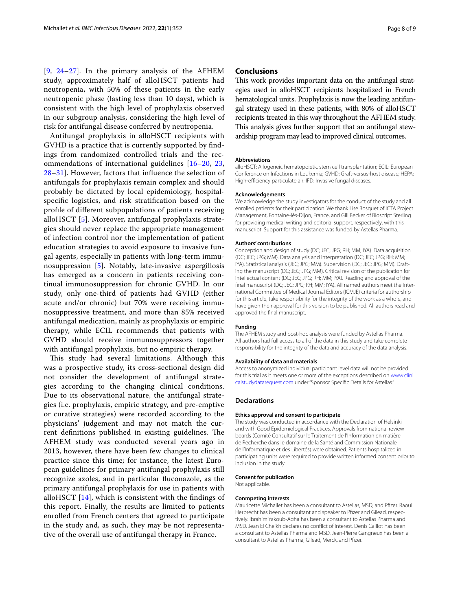[9, 24–27]. In the primary analysis of the AFHEM study, approximately half of alloHSCT patients had neutropenia, with 50% of these patients in the early neutropenic phase (lasting less than 10 days), which is consistent with the high level of prophylaxis observed in our subgroup analysis, considering the high level of risk for antifungal disease conferred by neutropenia.

Antifungal prophylaxis in alloHSCT recipients with GVHD is a practice that is currently supported by fndings from randomized controlled trials and the recommendations of international guidelines [16–20, 23, 28–31]. However, factors that infuence the selection of antifungals for prophylaxis remain complex and should probably be dictated by local epidemiology, hospitalspecifc logistics, and risk stratifcation based on the profle of diferent subpopulations of patients receiving alloHSCT [5]. Moreover, antifungal prophylaxis strategies should never replace the appropriate management of infection control nor the implementation of patient education strategies to avoid exposure to invasive fungal agents, especially in patients with long-term immunosuppression [5]. Notably, late-invasive aspergillosis has emerged as a concern in patients receiving continual immunosuppression for chronic GVHD. In our study, only one-third of patients had GVHD (either acute and/or chronic) but 70% were receiving immunosuppressive treatment, and more than 85% received antifungal medication, mainly as prophylaxis or empiric therapy, while ECIL recommends that patients with GVHD should receive immunosuppressors together with antifungal prophylaxis, but no empiric therapy.

This study had several limitations. Although this was a prospective study, its cross-sectional design did not consider the development of antifungal strategies according to the changing clinical conditions. Due to its observational nature, the antifungal strategies (i.e. prophylaxis, empiric strategy, and pre-emptive or curative strategies) were recorded according to the physicians' judgement and may not match the current definitions published in existing guidelines. The AFHEM study was conducted several years ago in 2013, however, there have been few changes to clinical practice since this time; for instance, the latest European guidelines for primary antifungal prophylaxis still recognize azoles, and in particular fuconazole, as the primary antifungal prophylaxis for use in patients with alloHSCT [14], which is consistent with the fndings of this report. Finally, the results are limited to patients enrolled from French centers that agreed to participate in the study and, as such, they may be not representative of the overall use of antifungal therapy in France.

## **Conclusions**

This work provides important data on the antifungal strategies used in alloHSCT recipients hospitalized in French hematological units. Prophylaxis is now the leading antifungal strategy used in these patients, with 80% of alloHSCT recipients treated in this way throughout the AFHEM study. This analysis gives further support that an antifungal stewardship program may lead to improved clinical outcomes.

#### **Abbreviations**

alloHSCT: Allogeneic hematopoietic stem cell transplantation; ECIL: European Conference on Infections in Leukemia; GVHD: Graft-versus-host disease; HEPA: High-efficiency particulate air; IFD: Invasive fungal diseases.

#### **Acknowledgements**

We acknowledge the study investigators for the conduct of the study and all enrolled patients for their participation. We thank Lise Bosquet of ICTA Project Management, Fontaine-lès-Dijon, France, and Gill Becker of Bioscript Sterling for providing medical writing and editorial support, respectively, with this manuscript. Support for this assistance was funded by Astellas Pharma.

#### **Authors' contributions**

Conception and design of study (DC; JEC; JPG; RH; MM; IYA). Data acquisition (DC; JEC; JPG; MM). Data analysis and interpretation (DC; JEC; JPG; RH; MM; IYA). Statistical analysis (JEC; JPG; MM). Supervision (DC; JEC; JPG; MM). Drafting the manuscript (DC; JEC; JPG; MM). Critical revision of the publication for intellectual content (DC; JEC; JPG; RH; MM; IYA). Reading and approval of the final manuscript (DC; JEC; JPG; RH; MM; IYA). All named authors meet the International Committee of Medical Journal Editors (ICMJE) criteria for authorship for this article, take responsibility for the integrity of the work as a whole, and have given their approval for this version to be published. All authors read and approved the fnal manuscript.

## **Funding**

The AFHEM study and post-hoc analysis were funded by Astellas Pharma. All authors had full access to all of the data in this study and take complete responsibility for the integrity of the data and accuracy of the data analysis.

#### **Availability of data and materials**

Access to anonymized individual participant level data will not be provided for this trial as it meets one or more of the exceptions described on [www.clini](http://www.clinicalstudydatarequest.com) [calstudydatarequest.com](http://www.clinicalstudydatarequest.com) under "Sponsor Specifc Details for Astellas."

## **Declarations**

#### **Ethics approval and consent to participate**

The study was conducted in accordance with the Declaration of Helsinki and with Good Epidemiological Practices. Approvals from national review boards (Comité Consultatif sur le Traitement de l'Information en matière de Recherche dans le domaine de la Santé and Commission Nationale de l'Informatique et des Libertés) were obtained. Patients hospitalized in participating units were required to provide written informed consent prior to inclusion in the study.

#### **Consent for publication**

Not applicable.

#### **Conmpeting interests**

Mauricette Michallet has been a consultant to Astellas, MSD, and Pfzer. Raoul Herbrecht has been a consultant and speaker to Pfizer and Gilead, respectively. Ibrahim Yakoub-Agha has been a consultant to Astellas Pharma and MSD. Jean El Cheikh declares no confict of interest. Denis Caillot has been a consultant to Astellas Pharma and MSD. Jean-Pierre Gangneux has been a consultant to Astellas Pharma, Gilead, Merck, and Pfzer.